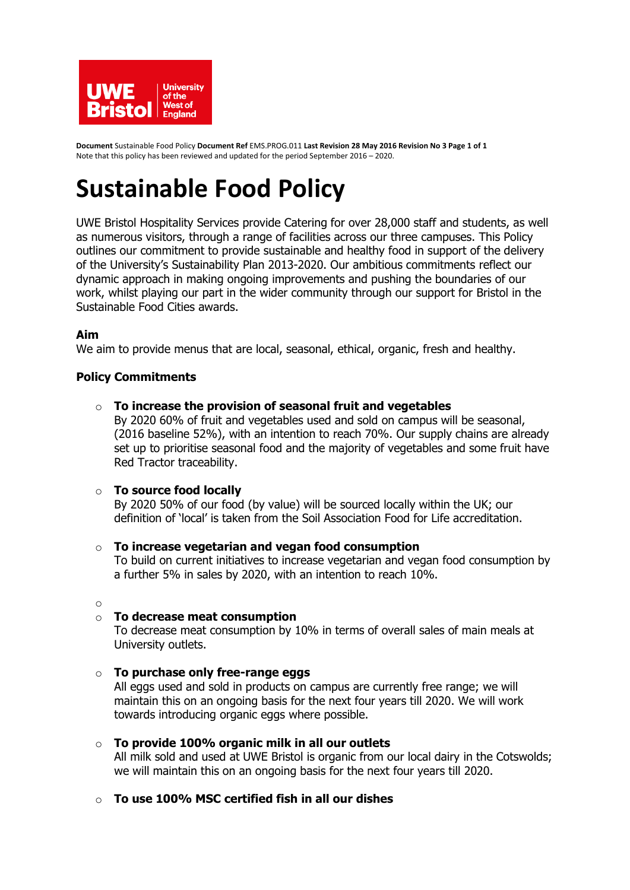

**Document** Sustainable Food Policy **Document Ref** EMS.PROG.011 **Last Revision 28 May 2016 Revision No 3 Page 1 of 1**  Note that this policy has been reviewed and updated for the period September 2016 – 2020.

# **Sustainable Food Policy**

UWE Bristol Hospitality Services provide Catering for over 28,000 staff and students, as well as numerous visitors, through a range of facilities across our three campuses. This Policy outlines our commitment to provide sustainable and healthy food in support of the delivery of the University's Sustainability Plan 2013-2020. Our ambitious commitments reflect our dynamic approach in making ongoing improvements and pushing the boundaries of our work, whilst playing our part in the wider community through our support for Bristol in the Sustainable Food Cities awards.

# **Aim**

We aim to provide menus that are local, seasonal, ethical, organic, fresh and healthy.

## **Policy Commitments**

o **To increase the provision of seasonal fruit and vegetables** 

By 2020 60% of fruit and vegetables used and sold on campus will be seasonal, (2016 baseline 52%), with an intention to reach 70%. Our supply chains are already set up to prioritise seasonal food and the majority of vegetables and some fruit have Red Tractor traceability.

### o **To source food locally**

By 2020 50% of our food (by value) will be sourced locally within the UK; our definition of 'local' is taken from the Soil Association Food for Life accreditation.

### o **To increase vegetarian and vegan food consumption**

To build on current initiatives to increase vegetarian and vegan food consumption by a further 5% in sales by 2020, with an intention to reach 10%.

o

# o **To decrease meat consumption**

To decrease meat consumption by 10% in terms of overall sales of main meals at University outlets.

### o **To purchase only free-range eggs**

All eggs used and sold in products on campus are currently free range; we will maintain this on an ongoing basis for the next four years till 2020. We will work towards introducing organic eggs where possible.

### o **To provide 100% organic milk in all our outlets**

All milk sold and used at UWE Bristol is organic from our local dairy in the Cotswolds; we will maintain this on an ongoing basis for the next four years till 2020.

### o **To use 100% MSC certified fish in all our dishes**